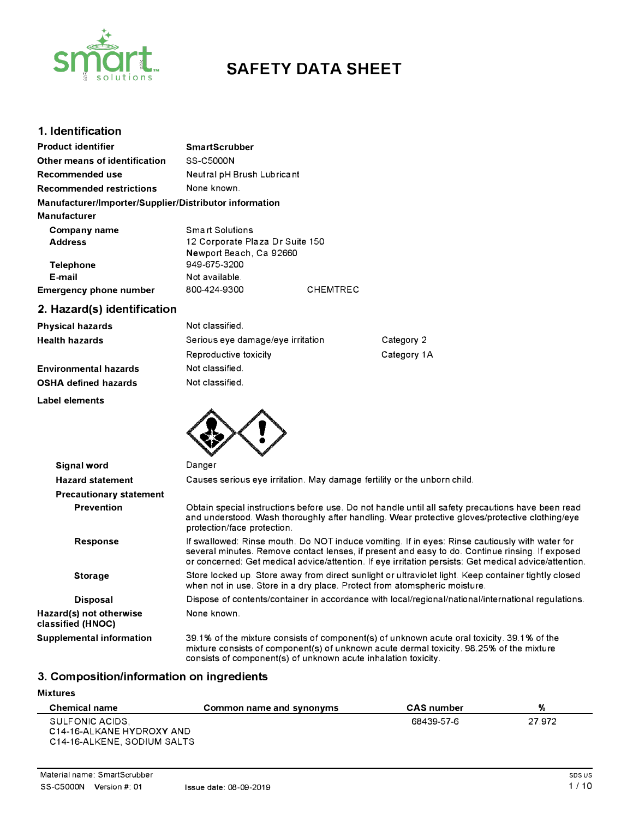

# **SAFETY DATA SHEET**

## **1. Identification**

| <b>Product identifier</b>                                                     | <b>SmartScrubber</b>                                                          |                 |
|-------------------------------------------------------------------------------|-------------------------------------------------------------------------------|-----------------|
| Other means of identification                                                 | SS-C5000N                                                                     |                 |
| Recommended use                                                               | Neutral pH Brush Lubricant                                                    |                 |
| <b>Recommended restrictions</b>                                               | None known.                                                                   |                 |
| Manufacturer/Importer/Supplier/Distributor information<br><b>Manufacturer</b> |                                                                               |                 |
| Company name<br><b>Address</b>                                                | Smart Solutions<br>12 Corporate Plaza Dr Suite 150<br>Newport Beach, Ca 92660 |                 |
| Telephone<br>E-mail<br><b>Emergency phone number</b>                          | 949-675-3200<br>Not available.<br>800-424-9300                                | <b>CHEMTREC</b> |

# **2. Hazard(s) identification**

| <b>Physical hazards</b>      | Not classified.                   |             |
|------------------------------|-----------------------------------|-------------|
| <b>Health hazards</b>        | Serious eye damage/eye irritation | Category 2  |
|                              | Reproductive toxicity             | Category 1A |
| <b>Environmental hazards</b> | Not classified.                   |             |
| <b>OSHA defined hazards</b>  | Not classified.                   |             |

**Label elements** 



| Signal word                                  | Danger                                                                                                                                                                                                                                                                                                     |  |
|----------------------------------------------|------------------------------------------------------------------------------------------------------------------------------------------------------------------------------------------------------------------------------------------------------------------------------------------------------------|--|
| <b>Hazard statement</b>                      | Causes serious eye irritation. May damage fertility or the unborn child.                                                                                                                                                                                                                                   |  |
| <b>Precautionary statement</b>               |                                                                                                                                                                                                                                                                                                            |  |
| <b>Prevention</b>                            | Obtain special instructions before use. Do not handle until all safety precautions have been read<br>and understood. Wash thoroughly after handling. Wear protective gloves/protective clothing/eye<br>protection/face protection.                                                                         |  |
| Response                                     | If swallowed: Rinse mouth. Do NOT induce vomiting. If in eyes: Rinse cautiously with water for<br>several minutes. Remove contact lenses, if present and easy to do. Continue rinsing. If exposed<br>or concerned: Get medical advice/attention. If eye irritation persists: Get medical advice/attention. |  |
| <b>Storage</b>                               | Store locked up. Store away from direct sunlight or ultraviolet light. Keep container tightly closed<br>when not in use. Store in a dry place. Protect from atomspheric moisture.                                                                                                                          |  |
| <b>Disposal</b>                              | Dispose of contents/container in accordance with local/regional/national/international regulations.                                                                                                                                                                                                        |  |
| Hazard(s) not otherwise<br>classified (HNOC) | None known.                                                                                                                                                                                                                                                                                                |  |
| Supplemental information                     | 39.1% of the mixture consists of component(s) of unknown acute oral toxicity. 39.1% of the<br>mixture consists of component(s) of unknown acute dermal toxicity. 98.25% of the mixture<br>consists of component(s) of unknown acute inhalation toxicity.                                                   |  |

# **3. Composition/information on ingredients**

#### **Mixtures**

| <b>Chemical name</b>                                                        | Common name and synonyms | <b>CAS</b> number | %      |
|-----------------------------------------------------------------------------|--------------------------|-------------------|--------|
| SULFONIC ACIDS.<br>C14-16-ALKANE HYDROXY AND<br>C14-16-ALKENE, SODIUM SALTS |                          | 68439-57-6        | 27.972 |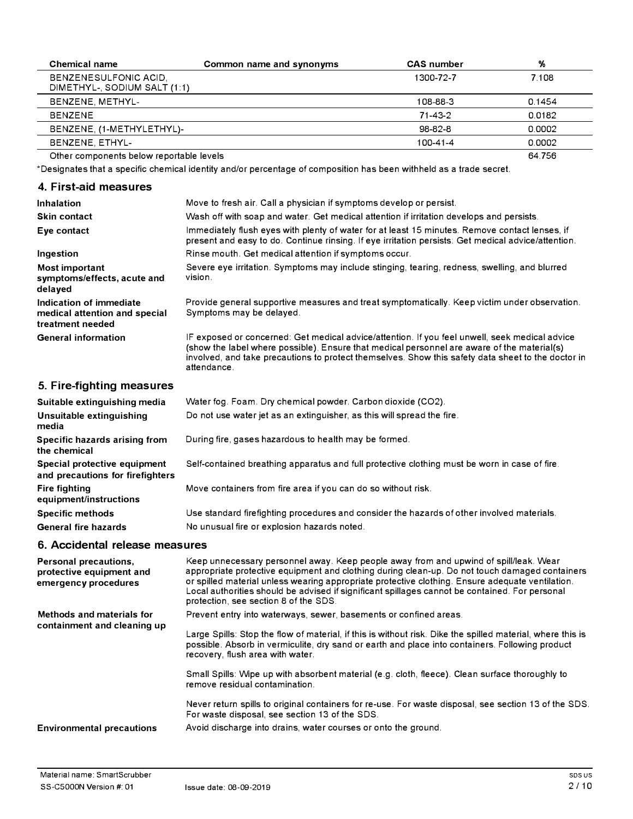| <b>Chemical name</b>                                  | Common name and synonyms | <b>CAS</b> number | %      |
|-------------------------------------------------------|--------------------------|-------------------|--------|
| BENZENESULFONIC ACID,<br>DIMETHYL-, SODIUM SALT (1:1) |                          | 1300-72-7         | 7.108  |
| BENZENE, METHYL-                                      |                          | 108-88-3          | 0.1454 |
| <b>BENZENE</b>                                        |                          | $71 - 43 - 2$     | 0.0182 |
| BENZENE, (1-METHYLETHYL)-                             |                          | 98-82-8           | 0.0002 |
| BENZENE, ETHYL-                                       |                          | 100-41-4          | 0.0002 |
| Other components below reportable levels              |                          |                   | 64.756 |

\*Designates that a specific chemical identity and/or percentage of composition has been withheld as a trade secret.

## **4. First-aid measures**

| Inhalation                                                                   | Move to fresh air. Call a physician if symptoms develop or persist.                                                                                                                                                                                                                                                |
|------------------------------------------------------------------------------|--------------------------------------------------------------------------------------------------------------------------------------------------------------------------------------------------------------------------------------------------------------------------------------------------------------------|
|                                                                              |                                                                                                                                                                                                                                                                                                                    |
| <b>Skin contact</b>                                                          | Wash off with soap and water. Get medical attention if irritation develops and persists.                                                                                                                                                                                                                           |
| Eye contact                                                                  | Immediately flush eyes with plenty of water for at least 15 minutes. Remove contact lenses, if<br>present and easy to do. Continue rinsing. If eye irritation persists: Get medical advice/attention.                                                                                                              |
| Ingestion                                                                    | Rinse mouth. Get medical attention if symptoms occur.                                                                                                                                                                                                                                                              |
| Most important<br>symptoms/effects, acute and<br>delayed                     | Severe eye irritation. Symptoms may include stinging, tearing, redness, swelling, and blurred<br>vision.                                                                                                                                                                                                           |
| Indication of immediate<br>medical attention and special<br>treatment needed | Provide general supportive measures and treat symptomatically. Keep victim under observation.<br>Symptoms may be delayed.                                                                                                                                                                                          |
| <b>General information</b>                                                   | IF exposed or concerned: Get medical advice/attention. If you feel unwell, seek medical advice<br>(show the label where possible). Ensure that medical personnel are aware of the material(s)<br>involved, and take precautions to protect themselves. Show this safety data sheet to the doctor in<br>attendance. |

# **5. Fire-fighting measures**

| Suitable extinguishing media                                     | Water fog. Foam. Dry chemical powder. Carbon dioxide (CO2).                                   |
|------------------------------------------------------------------|-----------------------------------------------------------------------------------------------|
| Unsuitable extinguishing<br>media                                | Do not use water jet as an extinguisher, as this will spread the fire.                        |
| Specific hazards arising from<br>the chemical                    | During fire, gases hazardous to health may be formed.                                         |
| Special protective equipment<br>and precautions for firefighters | Self-contained breathing apparatus and full protective clothing must be worn in case of fire. |
| <b>Fire fighting</b><br>equipment/instructions                   | Move containers from fire area if you can do so without risk.                                 |
| <b>Specific methods</b>                                          | Use standard firefighting procedures and consider the hazards of other involved materials.    |
| <b>General fire hazards</b>                                      | No unusual fire or explosion hazards noted.                                                   |

## **6. Accidental release measures**

| Personal precautions,<br>protective equipment and<br>emergency procedures | Keep unnecessary personnel away. Keep people away from and upwind of spill/leak. Wear<br>appropriate protective equipment and clothing during clean-up. Do not touch damaged containers<br>or spilled material unless wearing appropriate protective clothing. Ensure adequate ventilation.<br>Local authorities should be advised if significant spillages cannot be contained. For personal<br>protection, see section 8 of the SDS. |
|---------------------------------------------------------------------------|----------------------------------------------------------------------------------------------------------------------------------------------------------------------------------------------------------------------------------------------------------------------------------------------------------------------------------------------------------------------------------------------------------------------------------------|
| Methods and materials for<br>containment and cleaning up                  | Prevent entry into waterways, sewer, basements or confined areas.<br>Large Spills: Stop the flow of material, if this is without risk. Dike the spilled material, where this is<br>possible. Absorb in vermiculite, dry sand or earth and place into containers. Following product<br>recovery, flush area with water.                                                                                                                 |
|                                                                           | Small Spills: Wipe up with absorbent material (e.g. cloth, fleece). Clean surface thoroughly to<br>remove residual contamination.                                                                                                                                                                                                                                                                                                      |
|                                                                           | Never return spills to original containers for re-use. For waste disposal, see section 13 of the SDS.<br>For waste disposal, see section 13 of the SDS.                                                                                                                                                                                                                                                                                |
| <b>Environmental precautions</b>                                          | Avoid discharge into drains, water courses or onto the ground.                                                                                                                                                                                                                                                                                                                                                                         |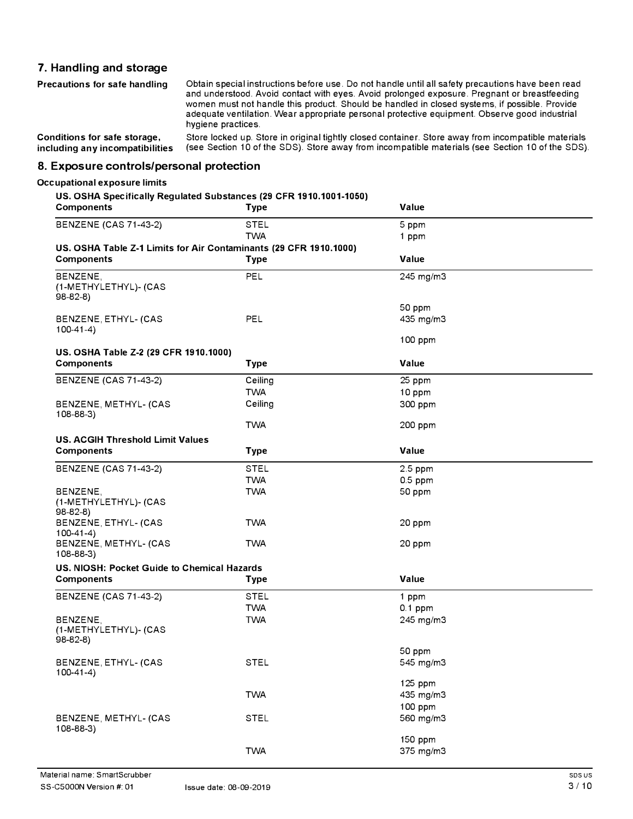## **7. Handling and storage**

| Precautions for safe handling   | Obtain special instructions before use. Do not handle until all safety precautions have been read<br>and understood. Avoid contact with eyes. Avoid prolonged exposure. Pregnant or breastfeeding<br>women must not handle this product. Should be handled in closed systems, if possible. Provide<br>adequate ventilation. Wear appropriate personal protective equipment. Observe good industrial<br>hygiene practices. |
|---------------------------------|---------------------------------------------------------------------------------------------------------------------------------------------------------------------------------------------------------------------------------------------------------------------------------------------------------------------------------------------------------------------------------------------------------------------------|
| Conditions for safe storage,    | Store locked up. Store in original tightly closed container. Store away from incompatible materials                                                                                                                                                                                                                                                                                                                       |
| including any incompatibilities | (see Section 10 of the SDS). Store away from incompatible materials (see Section 10 of the SDS).                                                                                                                                                                                                                                                                                                                          |

**8. Exposure controls/personal protection**

#### **Occupational exposure limits**

#### **US. OSHA Specifically Regulated Substances (29 CFR 1910.1001-1050)**

| <b>Components</b>                                                 | <b>Type</b> | Value                |
|-------------------------------------------------------------------|-------------|----------------------|
| <b>BENZENE (CAS 71-43-2)</b>                                      | <b>STEL</b> | 5 ppm                |
|                                                                   | <b>TWA</b>  | 1 ppm                |
| US. OSHA Table Z-1 Limits for Air Contaminants (29 CFR 1910.1000) |             |                      |
| <b>Components</b>                                                 | <b>Type</b> | Value                |
| BENZENE,                                                          | PEL         | 245 mg/m3            |
| (1-METHYLETHYL)- (CAS                                             |             |                      |
| $98-82-8$                                                         |             |                      |
|                                                                   | PEL         | 50 ppm               |
| BENZENE, ETHYL- (CAS<br>$100-41-4$                                |             | 435 mg/m3            |
|                                                                   |             | 100 ppm              |
| US. OSHA Table Z-2 (29 CFR 1910.1000)                             |             |                      |
| <b>Components</b>                                                 | <b>Type</b> | Value                |
| <b>BENZENE (CAS 71-43-2)</b>                                      | Ceiling     | 25 ppm               |
|                                                                   | <b>TWA</b>  | 10 ppm               |
| BENZENE, METHYL- (CAS                                             | Ceiling     | 300 ppm              |
| $108 - 88 - 3$                                                    |             |                      |
|                                                                   | <b>TWA</b>  | 200 ppm              |
| <b>US. ACGIH Threshold Limit Values</b>                           |             |                      |
| <b>Components</b>                                                 | <b>Type</b> | Value                |
| <b>BENZENE (CAS 71-43-2)</b>                                      | <b>STEL</b> | 2.5 ppm              |
|                                                                   | <b>TWA</b>  | $0.5$ ppm            |
| BENZENE,                                                          | <b>TWA</b>  | 50 ppm               |
| (1-METHYLETHYL)- (CAS                                             |             |                      |
| $98-82-8$<br>BENZENE, ETHYL- (CAS                                 | <b>TWA</b>  | 20 ppm               |
| $100-41-4)$                                                       |             |                      |
| BENZENE, METHYL- (CAS                                             | <b>TWA</b>  | 20 ppm               |
| $108 - 88 - 3$                                                    |             |                      |
| US. NIOSH: Pocket Guide to Chemical Hazards                       |             |                      |
| <b>Components</b>                                                 | Type        | Value                |
| <b>BENZENE (CAS 71-43-2)</b>                                      | <b>STEL</b> | 1 ppm                |
|                                                                   | <b>TWA</b>  | $0.1$ ppm            |
| BENZENE,                                                          | <b>TWA</b>  | 245 mg/m3            |
| (1-METHYLETHYL)- (CAS                                             |             |                      |
| $98-82-8$                                                         |             | 50 ppm               |
| BENZENE, ETHYL- (CAS                                              | <b>STEL</b> | 545 mg/m3            |
| $100-41-4$                                                        |             |                      |
|                                                                   |             | 125 ppm              |
|                                                                   | <b>TWA</b>  | 435 mg/m3            |
|                                                                   |             | 100 ppm              |
| BENZENE, METHYL- (CAS                                             | <b>STEL</b> | 560 mg/m3            |
| 108-88-3)                                                         |             |                      |
|                                                                   | <b>TWA</b>  | 150 ppm<br>375 mg/m3 |
|                                                                   |             |                      |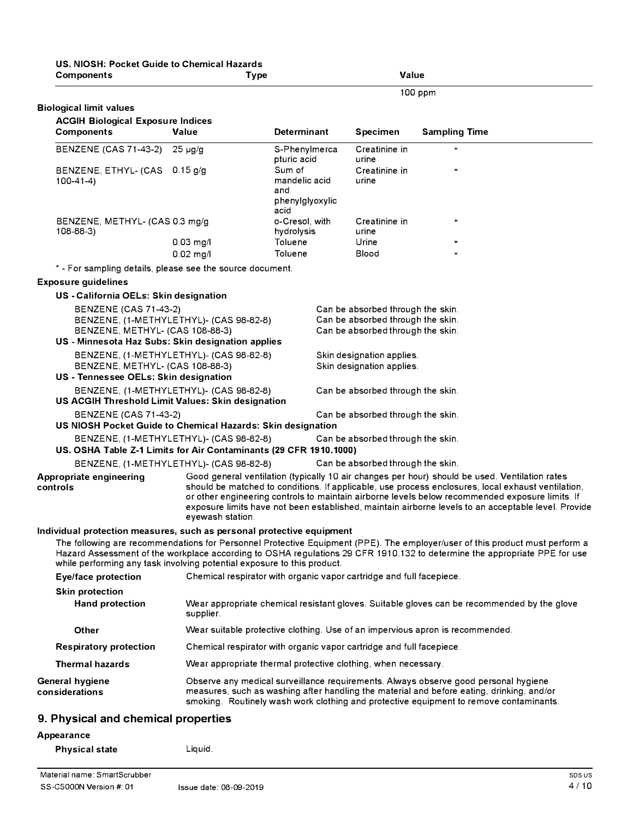| US, NIOSH: Pocket Guide to Chemical Hazards<br><b>Components</b>                                                                                 | <b>Type</b>                                                          |                                                           | Value                                                                                                       |                                                                                                                                                                                                                                                                                                                                                                                                                |
|--------------------------------------------------------------------------------------------------------------------------------------------------|----------------------------------------------------------------------|-----------------------------------------------------------|-------------------------------------------------------------------------------------------------------------|----------------------------------------------------------------------------------------------------------------------------------------------------------------------------------------------------------------------------------------------------------------------------------------------------------------------------------------------------------------------------------------------------------------|
|                                                                                                                                                  |                                                                      |                                                           |                                                                                                             | 100 ppm                                                                                                                                                                                                                                                                                                                                                                                                        |
| <b>Biological limit values</b>                                                                                                                   |                                                                      |                                                           |                                                                                                             |                                                                                                                                                                                                                                                                                                                                                                                                                |
| <b>ACGIH Biological Exposure Indices</b>                                                                                                         |                                                                      |                                                           |                                                                                                             |                                                                                                                                                                                                                                                                                                                                                                                                                |
| Components                                                                                                                                       | Value                                                                | <b>Determinant</b>                                        | <b>Specimen</b>                                                                                             | <b>Sampling Time</b>                                                                                                                                                                                                                                                                                                                                                                                           |
| <b>BENZENE (CAS 71-43-2)</b>                                                                                                                     | $25 \mu g/g$                                                         | S-Phenylmerca<br>pturic acid                              | Creatinine in<br>urine                                                                                      |                                                                                                                                                                                                                                                                                                                                                                                                                |
| BENZENE, ETHYL- (CAS<br>$100-41-4)$                                                                                                              | $0.15$ g/g                                                           | Sum of<br>mandelic acid<br>and<br>phenylglyoxylic<br>acid | Creatinine in<br>urine                                                                                      | $\star$                                                                                                                                                                                                                                                                                                                                                                                                        |
| BENZENE, METHYL- (CAS 0.3 mg/g<br>$108 - 88 - 3$                                                                                                 |                                                                      | o-Cresol, with<br>hydrolysis                              | Creatinine in<br>urine                                                                                      | $\star$                                                                                                                                                                                                                                                                                                                                                                                                        |
|                                                                                                                                                  | $0.03$ mg/l<br>$0.02$ mg/l                                           | Toluene<br>Toluene                                        | Urine<br>Blood                                                                                              | $\star$<br>$\star$                                                                                                                                                                                                                                                                                                                                                                                             |
| * - For sampling details, please see the source document.                                                                                        |                                                                      |                                                           |                                                                                                             |                                                                                                                                                                                                                                                                                                                                                                                                                |
| <b>Exposure guidelines</b>                                                                                                                       |                                                                      |                                                           |                                                                                                             |                                                                                                                                                                                                                                                                                                                                                                                                                |
| US - California OELs: Skin designation                                                                                                           |                                                                      |                                                           |                                                                                                             |                                                                                                                                                                                                                                                                                                                                                                                                                |
| <b>BENZENE (CAS 71-43-2)</b><br>BENZENE, METHYL- (CAS 108-88-3)                                                                                  | BENZENE, (1-METHYLETHYL)- (CAS 98-82-8)                              |                                                           | Can be absorbed through the skin.<br>Can be absorbed through the skin.<br>Can be absorbed through the skin. |                                                                                                                                                                                                                                                                                                                                                                                                                |
| US - Minnesota Haz Subs: Skin designation applies                                                                                                |                                                                      |                                                           |                                                                                                             |                                                                                                                                                                                                                                                                                                                                                                                                                |
| BENZENE, METHYL- (CAS 108-88-3)<br>US - Tennessee OELs: Skin designation                                                                         | BENZENE, (1-METHYLETHYL)- (CAS 98-82-8)                              |                                                           | Skin designation applies.<br>Skin designation applies.                                                      |                                                                                                                                                                                                                                                                                                                                                                                                                |
|                                                                                                                                                  | BENZENE, (1-METHYLETHYL)- (CAS 98-82-8)                              |                                                           | Can be absorbed through the skin.                                                                           |                                                                                                                                                                                                                                                                                                                                                                                                                |
| US ACGIH Threshold Limit Values: Skin designation                                                                                                |                                                                      |                                                           |                                                                                                             |                                                                                                                                                                                                                                                                                                                                                                                                                |
| <b>BENZENE (CAS 71-43-2)</b><br>US NIOSH Pocket Guide to Chemical Hazards: Skin designation                                                      |                                                                      |                                                           | Can be absorbed through the skin.                                                                           |                                                                                                                                                                                                                                                                                                                                                                                                                |
|                                                                                                                                                  | BENZENE, (1-METHYLETHYL)- (CAS 98-82-8)                              |                                                           | Can be absorbed through the skin.                                                                           |                                                                                                                                                                                                                                                                                                                                                                                                                |
| US. OSHA Table Z-1 Limits for Air Contaminants (29 CFR 1910.1000)                                                                                |                                                                      |                                                           |                                                                                                             |                                                                                                                                                                                                                                                                                                                                                                                                                |
|                                                                                                                                                  | BENZENE, (1-METHYLETHYL)- (CAS 98-82-8)                              |                                                           | Can be absorbed through the skin.                                                                           |                                                                                                                                                                                                                                                                                                                                                                                                                |
| <b>Appropriate engineering</b><br>controls                                                                                                       | eyewash station.                                                     |                                                           |                                                                                                             | Good general ventilation (typically 10 air changes per hour) should be used. Ventilation rates<br>should be matched to conditions. If applicable, use process enclosures, local exhaust ventilation,<br>or other engineering controls to maintain airborne levels below recommended exposure limits. If<br>exposure limits have not been established, maintain airborne levels to an acceptable level. Provide |
| Individual protection measures, such as personal protective equipment<br>while performing any task involving potential exposure to this product. |                                                                      |                                                           |                                                                                                             | The following are recommendations for Personnel Protective Equipment (PPE). The employer/user of this product must perform a<br>Hazard Assessment of the workplace according to OSHA regulations 29 CFR 1910.132 to determine the appropriate PPE for use                                                                                                                                                      |
| Eye/face protection                                                                                                                              | Chemical respirator with organic vapor cartridge and full facepiece. |                                                           |                                                                                                             |                                                                                                                                                                                                                                                                                                                                                                                                                |
| <b>Skin protection</b>                                                                                                                           |                                                                      |                                                           |                                                                                                             |                                                                                                                                                                                                                                                                                                                                                                                                                |
| <b>Hand protection</b>                                                                                                                           | supplier.                                                            |                                                           |                                                                                                             | Wear appropriate chemical resistant gloves. Suitable gloves can be recommended by the glove                                                                                                                                                                                                                                                                                                                    |
| Other                                                                                                                                            |                                                                      |                                                           |                                                                                                             | Wear suitable protective clothing. Use of an impervious apron is recommended.                                                                                                                                                                                                                                                                                                                                  |
| <b>Respiratory protection</b>                                                                                                                    | Chemical respirator with organic vapor cartridge and full facepiece. |                                                           |                                                                                                             |                                                                                                                                                                                                                                                                                                                                                                                                                |
| <b>Thermal hazards</b>                                                                                                                           | Wear appropriate thermal protective clothing, when necessary.        |                                                           |                                                                                                             |                                                                                                                                                                                                                                                                                                                                                                                                                |
| General hygiene<br>considerations                                                                                                                |                                                                      |                                                           |                                                                                                             | Observe any medical surveillance requirements. Always observe good personal hygiene<br>measures, such as washing after handling the material and before eating, drinking, and/or<br>smoking. Routinely wash work clothing and protective equipment to remove contaminants.                                                                                                                                     |
| 9. Physical and chemical properties                                                                                                              |                                                                      |                                                           |                                                                                                             |                                                                                                                                                                                                                                                                                                                                                                                                                |
| Appearance                                                                                                                                       |                                                                      |                                                           |                                                                                                             |                                                                                                                                                                                                                                                                                                                                                                                                                |
| <b>Physical state</b>                                                                                                                            | Liquid.                                                              |                                                           |                                                                                                             |                                                                                                                                                                                                                                                                                                                                                                                                                |

# Material name: SmartScrubber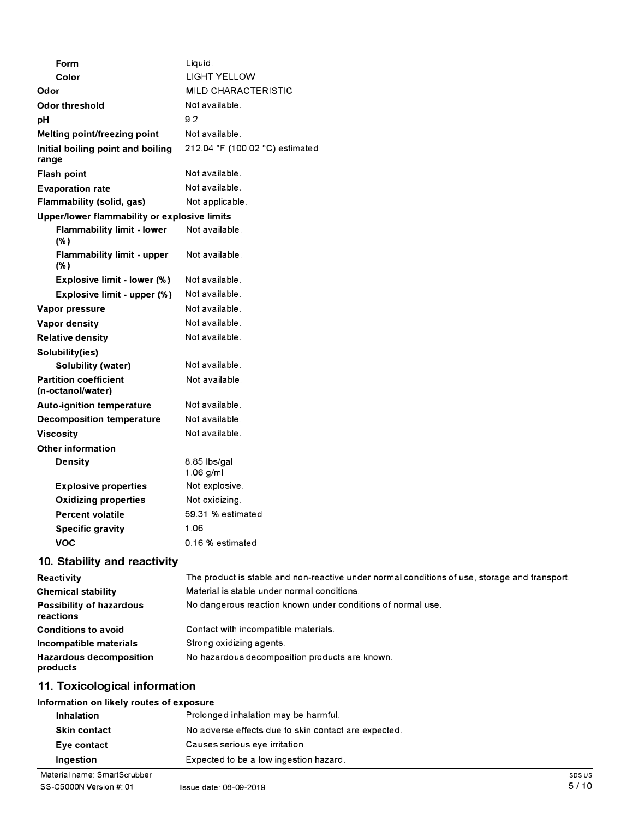| Form                                              | Liquid.                         |
|---------------------------------------------------|---------------------------------|
| Color                                             | <b>LIGHT YELLOW</b>             |
| Odor                                              | MILD CHARACTERISTIC             |
| <b>Odor threshold</b>                             | Not available.                  |
| pH                                                | 9.2                             |
| Melting point/freezing point                      | Not available.                  |
| Initial boiling point and boiling<br>range        | 212.04 °F (100.02 °C) estimated |
| Flash point                                       | Not available.                  |
| <b>Evaporation rate</b>                           | Not available.                  |
| Flammability (solid, gas)                         | Not applicable.                 |
| Upper/lower flammability or explosive limits      |                                 |
| <b>Flammability limit - lower</b><br>(% )         | Not available.                  |
| <b>Flammability limit - upper</b><br>(% )         | Not available.                  |
| Explosive limit - lower (%)                       | Not available.                  |
| Explosive limit - upper (%)                       | Not available.                  |
| Vapor pressure                                    | Not available.                  |
| Vapor density                                     | Not available.                  |
| <b>Relative density</b>                           | Not available.                  |
| Solubility(ies)                                   |                                 |
| <b>Solubility (water)</b>                         | Not available.                  |
| <b>Partition coefficient</b><br>(n-octanol/water) | Not available.                  |
| <b>Auto-ignition temperature</b>                  | Not available.                  |
| <b>Decomposition temperature</b>                  | Not available.                  |
| <b>Viscosity</b>                                  | Not available.                  |
| <b>Other information</b>                          |                                 |
| <b>Density</b>                                    | 8.85 lbs/gal<br>$1.06$ g/ml     |
| <b>Explosive properties</b>                       | Not explosive.                  |
| <b>Oxidizing properties</b>                       | Not oxidizing.                  |
| <b>Percent volatile</b>                           | 59.31 % estimated               |
| <b>Specific gravity</b>                           | 1.06                            |
| <b>VOC</b>                                        | 0.16 % estimated                |
| 10 Ctability and reactivity                       |                                 |

#### **10. Stability and reactivity**

| Reactivity                                   | The product is stable and non-reactive under normal conditions of use, storage and transport. |
|----------------------------------------------|-----------------------------------------------------------------------------------------------|
| <b>Chemical stability</b>                    | Material is stable under normal conditions.                                                   |
| <b>Possibility of hazardous</b><br>reactions | No dangerous reaction known under conditions of normal use.                                   |
| <b>Conditions to avoid</b>                   | Contact with incompatible materials.                                                          |
| Incompatible materials                       | Strong oxidizing agents.                                                                      |
| <b>Hazardous decomposition</b><br>products   | No hazardous decomposition products are known.                                                |

# **11. Toxicological information**

### **Information on likely routes of exposure**

| Inhalation          | Prolonged inhalation may be harmful.                 |
|---------------------|------------------------------------------------------|
| <b>Skin contact</b> | No adverse effects due to skin contact are expected. |
| Eye contact         | Causes serious eye irritation.                       |
| Ingestion           | Expected to be a low ingestion hazard.               |

Material name: SmartScrubber SS-C5000N Version#: 01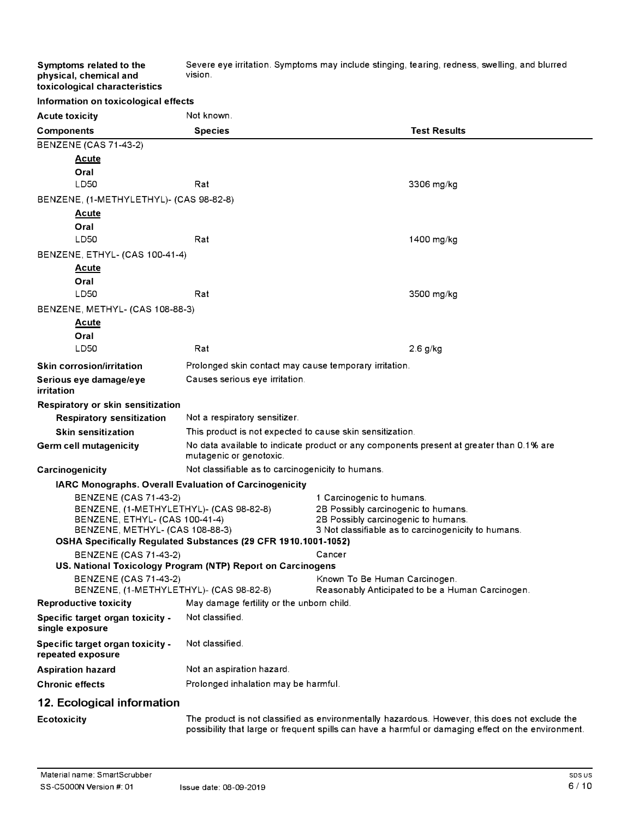Severe eye irritation. Symptoms may include stinging, tearing, redness, swelling, and blurred vision.

|  | toxicological characteristics |                                      |
|--|-------------------------------|--------------------------------------|
|  |                               | Information on toxicological effects |

**Symptoms related to the physical, chemical and** 

| <b>Acute toxicity</b>                                                   | Not known.                                                     |                                                                                                |
|-------------------------------------------------------------------------|----------------------------------------------------------------|------------------------------------------------------------------------------------------------|
| <b>Components</b>                                                       | <b>Species</b>                                                 | <b>Test Results</b>                                                                            |
| <b>BENZENE (CAS 71-43-2)</b>                                            |                                                                |                                                                                                |
| <b>Acute</b>                                                            |                                                                |                                                                                                |
| Oral                                                                    |                                                                |                                                                                                |
| LD50                                                                    | Rat                                                            | 3306 mg/kg                                                                                     |
| BENZENE, (1-METHYLETHYL)- (CAS 98-82-8)                                 |                                                                |                                                                                                |
| <u>Acute</u>                                                            |                                                                |                                                                                                |
| Oral                                                                    |                                                                |                                                                                                |
| LD50                                                                    | Rat                                                            | 1400 mg/kg                                                                                     |
| BENZENE, ETHYL- (CAS 100-41-4)                                          |                                                                |                                                                                                |
| <u>Acute</u>                                                            |                                                                |                                                                                                |
| Oral                                                                    |                                                                |                                                                                                |
| LD50                                                                    | Rat                                                            | 3500 mg/kg                                                                                     |
| BENZENE, METHYL- (CAS 108-88-3)                                         |                                                                |                                                                                                |
| <u>Acute</u>                                                            |                                                                |                                                                                                |
| Oral                                                                    |                                                                |                                                                                                |
| LD50                                                                    | Rat                                                            | $2.6$ g/kg                                                                                     |
| <b>Skin corrosion/irritation</b>                                        | Prolonged skin contact may cause temporary irritation.         |                                                                                                |
| Serious eye damage/eye<br>irritation                                    | Causes serious eye irritation.                                 |                                                                                                |
| Respiratory or skin sensitization                                       |                                                                |                                                                                                |
| <b>Respiratory sensitization</b>                                        | Not a respiratory sensitizer.                                  |                                                                                                |
| <b>Skin sensitization</b>                                               | This product is not expected to cause skin sensitization.      |                                                                                                |
| Germ cell mutagenicity                                                  | mutagenic or genotoxic.                                        | No data available to indicate product or any components present at greater than 0.1% are       |
| Carcinogenicity                                                         | Not classifiable as to carcinogenicity to humans.              |                                                                                                |
| IARC Monographs. Overall Evaluation of Carcinogenicity                  |                                                                |                                                                                                |
| <b>BENZENE (CAS 71-43-2)</b>                                            |                                                                | 1 Carcinogenic to humans.                                                                      |
| BENZENE, (1-METHYLETHYL)- (CAS 98-82-8)                                 |                                                                | 2B Possibly carcinogenic to humans.                                                            |
| BENZENE, ETHYL- (CAS 100-41-4)<br>BENZENE, METHYL- (CAS 108-88-3)       |                                                                | 2B Possibly carcinogenic to humans.<br>3 Not classifiable as to carcinogenicity to humans.     |
|                                                                         | OSHA Specifically Regulated Substances (29 CFR 1910.1001-1052) |                                                                                                |
| <b>BENZENE (CAS 71-43-2)</b>                                            |                                                                | Cancer                                                                                         |
|                                                                         | US. National Toxicology Program (NTP) Report on Carcinogens    |                                                                                                |
| <b>BENZENE (CAS 71-43-2)</b><br>BENZENE, (1-METHYLETHYL)- (CAS 98-82-8) |                                                                | Known To Be Human Carcinogen.<br>Reasonably Anticipated to be a Human Carcinogen.              |
| <b>Reproductive toxicity</b>                                            | May damage fertility or the unborn child.                      |                                                                                                |
| Specific target organ toxicity -<br>single exposure                     | Not classified.                                                |                                                                                                |
| Specific target organ toxicity -<br>repeated exposure                   | Not classified.                                                |                                                                                                |
| <b>Aspiration hazard</b>                                                | Not an aspiration hazard.                                      |                                                                                                |
| <b>Chronic effects</b>                                                  | Prolonged inhalation may be harmful.                           |                                                                                                |
| 12. Ecological information                                              |                                                                |                                                                                                |
| Ecotoxicity                                                             |                                                                | The product is not classified as environmentally hazardous. However, this does not exclude the |

possibility that large or frequent spills can have a harmful or damaging effect on the environment.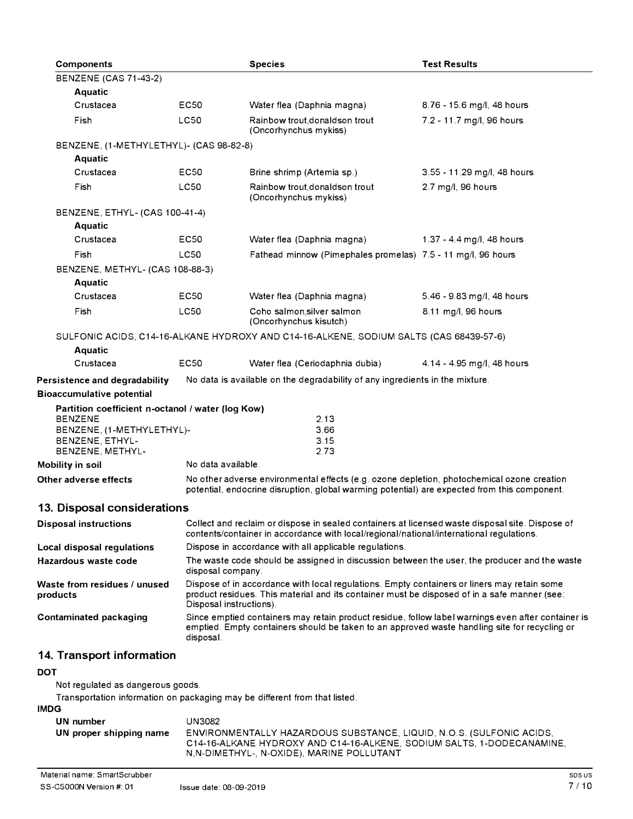| <b>Components</b>                                                                         |                                                                                                                                                                                                                        | <b>Species</b>                                                                                                                                                                              | <b>Test Results</b>         |
|-------------------------------------------------------------------------------------------|------------------------------------------------------------------------------------------------------------------------------------------------------------------------------------------------------------------------|---------------------------------------------------------------------------------------------------------------------------------------------------------------------------------------------|-----------------------------|
| <b>BENZENE (CAS 71-43-2)</b>                                                              |                                                                                                                                                                                                                        |                                                                                                                                                                                             |                             |
| <b>Aquatic</b>                                                                            |                                                                                                                                                                                                                        |                                                                                                                                                                                             |                             |
| Crustacea                                                                                 | EC50                                                                                                                                                                                                                   | Water flea (Daphnia magna)                                                                                                                                                                  | 8.76 - 15.6 mg/l, 48 hours  |
| Fish                                                                                      | <b>LC50</b>                                                                                                                                                                                                            | Rainbow trout, donaldson trout<br>(Oncorhynchus mykiss)                                                                                                                                     | 7.2 - 11.7 mg/l, 96 hours   |
| BENZENE, (1-METHYLETHYL)- (CAS 98-82-8)                                                   |                                                                                                                                                                                                                        |                                                                                                                                                                                             |                             |
| Aquatic                                                                                   |                                                                                                                                                                                                                        |                                                                                                                                                                                             |                             |
| Crustacea                                                                                 | EC50                                                                                                                                                                                                                   | Brine shrimp (Artemia sp.)                                                                                                                                                                  | 3.55 - 11.29 mg/l, 48 hours |
| Fish                                                                                      | <b>LC50</b>                                                                                                                                                                                                            | Rainbow trout, donaldson trout<br>(Oncorhynchus mykiss)                                                                                                                                     | 2.7 mg/l, 96 hours          |
| BENZENE, ETHYL- (CAS 100-41-4)                                                            |                                                                                                                                                                                                                        |                                                                                                                                                                                             |                             |
| Aquatic                                                                                   |                                                                                                                                                                                                                        |                                                                                                                                                                                             |                             |
| Crustacea                                                                                 | EC50                                                                                                                                                                                                                   | Water flea (Daphnia magna)                                                                                                                                                                  | 1.37 - 4.4 mg/l, 48 hours   |
| Fish                                                                                      | LC50                                                                                                                                                                                                                   | Fathead minnow (Pimephales promelas) 7.5 - 11 mg/l, 96 hours                                                                                                                                |                             |
| BENZENE, METHYL- (CAS 108-88-3)                                                           |                                                                                                                                                                                                                        |                                                                                                                                                                                             |                             |
| <b>Aquatic</b>                                                                            |                                                                                                                                                                                                                        |                                                                                                                                                                                             |                             |
| Crustacea                                                                                 | EC50                                                                                                                                                                                                                   | Water flea (Daphnia magna)                                                                                                                                                                  | 5.46 - 9.83 mg/l, 48 hours  |
| Fish                                                                                      | <b>LC50</b>                                                                                                                                                                                                            | Coho salmon, silver salmon<br>(Oncorhynchus kisutch)                                                                                                                                        | 8.11 mg/l, 96 hours         |
|                                                                                           |                                                                                                                                                                                                                        | SULFONIC ACIDS, C14-16-ALKANE HYDROXY AND C14-16-ALKENE, SODIUM SALTS (CAS 68439-57-6)                                                                                                      |                             |
| Aquatic                                                                                   |                                                                                                                                                                                                                        |                                                                                                                                                                                             |                             |
| Crustacea                                                                                 | <b>EC50</b>                                                                                                                                                                                                            | Water flea (Ceriodaphnia dubia)                                                                                                                                                             | 4.14 - 4.95 mg/l, 48 hours  |
| Persistence and degradability                                                             |                                                                                                                                                                                                                        | No data is available on the degradability of any ingredients in the mixture.                                                                                                                |                             |
| <b>Bioaccumulative potential</b>                                                          |                                                                                                                                                                                                                        |                                                                                                                                                                                             |                             |
| Partition coefficient n-octanol / water (log Kow)<br><b>BENZENE</b>                       |                                                                                                                                                                                                                        |                                                                                                                                                                                             |                             |
| BENZENE, (1-METHYLETHYL)-                                                                 |                                                                                                                                                                                                                        | 2.13<br>3.66                                                                                                                                                                                |                             |
| BENZENE, ETHYL-                                                                           |                                                                                                                                                                                                                        | 3.15                                                                                                                                                                                        |                             |
| BENZENE, METHYL-                                                                          |                                                                                                                                                                                                                        | 2.73                                                                                                                                                                                        |                             |
| Mobility in soil                                                                          | No data available.                                                                                                                                                                                                     |                                                                                                                                                                                             |                             |
| Other adverse effects                                                                     |                                                                                                                                                                                                                        | No other adverse environmental effects (e.g. ozone depletion, photochemical ozone creation<br>potential, endocrine disruption, global warming potential) are expected from this component.  |                             |
| 13. Disposal considerations                                                               |                                                                                                                                                                                                                        |                                                                                                                                                                                             |                             |
| <b>Disposal instructions</b>                                                              |                                                                                                                                                                                                                        | Collect and reclaim or dispose in sealed containers at licensed waste disposal site. Dispose of<br>contents/container in accordance with local/regional/national/international regulations. |                             |
| Local disposal regulations                                                                | Dispose in accordance with all applicable regulations.                                                                                                                                                                 |                                                                                                                                                                                             |                             |
| Hazardous waste code                                                                      |                                                                                                                                                                                                                        | The waste code should be assigned in discussion between the user, the producer and the waste<br>disposal company.                                                                           |                             |
| Waste from residues / unused<br>products                                                  | Dispose of in accordance with local regulations. Empty containers or liners may retain some<br>product residues. This material and its container must be disposed of in a safe manner (see:<br>Disposal instructions). |                                                                                                                                                                                             |                             |
| <b>Contaminated packaging</b>                                                             | Since emptied containers may retain product residue, follow label warnings even after container is<br>emptied. Empty containers should be taken to an approved waste handling site for recycling or<br>disposal.       |                                                                                                                                                                                             |                             |
| 14. Transport information                                                                 |                                                                                                                                                                                                                        |                                                                                                                                                                                             |                             |
| <b>DOT</b>                                                                                |                                                                                                                                                                                                                        |                                                                                                                                                                                             |                             |
| Not regulated as dangerous goods.                                                         |                                                                                                                                                                                                                        |                                                                                                                                                                                             |                             |
| Transportation information on packaging may be different from that listed.<br><b>IMDG</b> |                                                                                                                                                                                                                        |                                                                                                                                                                                             |                             |

| UN number               | UN3082                                                                                                              |
|-------------------------|---------------------------------------------------------------------------------------------------------------------|
| UN proper shipping name | ENVIRONMENTALLY HAZARDOUS SUBSTANCE, LIQUID, N.O.S. (SULFONIC ACIDS,                                                |
|                         | C14-16-ALKANE HYDROXY AND C14-16-ALKENE. SODIUM SALTS. 1-DODECANAMINE.<br>N,N-DIMETHYL-, N-OXIDE), MARINE POLLUTANT |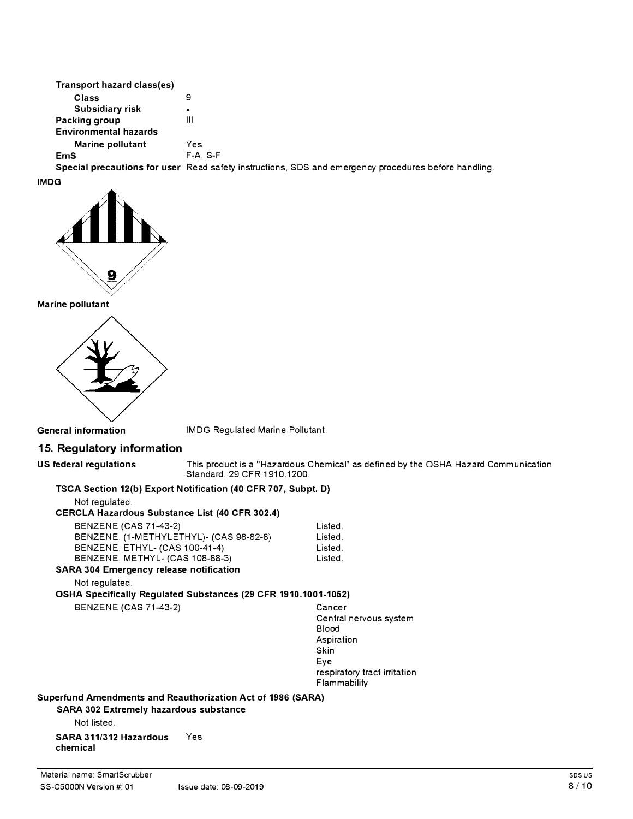| Transport hazard class(es)   |                                                                                                      |
|------------------------------|------------------------------------------------------------------------------------------------------|
| Class                        | 9                                                                                                    |
| Subsidiary risk              | $\blacksquare$                                                                                       |
| Packing group                | Ш                                                                                                    |
| <b>Environmental hazards</b> |                                                                                                      |
| Marine pollutant             | Yes                                                                                                  |
| <b>EmS</b>                   | $F-A. S-F$                                                                                           |
|                              | Special precautions for user Read safety instructions, SDS and emergency procedures before handling. |

**IMDG** 



**Marine pollutant** 



**General information** IMDG Regulated Marine Pollutant.

## **15. Regulatory information**

**US federal regulations** This product is a "Hazardous Chemical" as defined by the OSHA Hazard Communication Standard, 29 CFR 1910.1200.

#### **TSCA Section 12(b) Export Notification (40 CFR 707, Subpt. D)**

Not regulated.

# **CERCLA Hazardous Substance List (40 CFR 302.4)**

| BENZENE (CAS 71-43-2)                         | Listed. |
|-----------------------------------------------|---------|
| BENZENE, (1-METHYLETHYL)- (CAS 98-82-8)       | Listed. |
| <b>BENZENE, ETHYL- (CAS 100-41-4)</b>         | Listed. |
| BENZENE, METHYL- (CAS 108-88-3)               | Listed. |
| <b>\RA 304 Emergency release notification</b> |         |

**SARA 304 Emergency release notification** 

Not regulated.

**OSHA Specifically Regulated Substances (29 CFR 1910.1001-1052)** 

BENZENE (CAS 71-43-2) Cancer

Central nervous system Blood Aspiration Skin Eye respiratory tract irritation Flammability

**Superfund Amendments and Reauthorization Act of 1986 (SARA)** 

**SARA 302 Extremely hazardous substance** 

Not listed.

**SARA 311/312 Hazardous** Yes **chemical**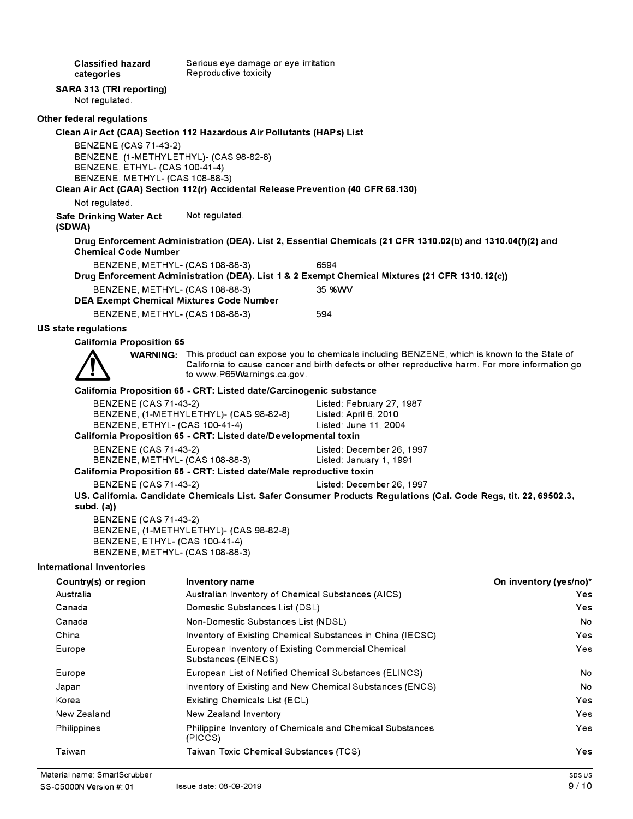**Classified hazard categories SARA 313 (TRI reporting)**  Not regulated. **Other federal regulations**  Serious eye damage or eye irritation Reproductive toxicity **Clean Air Act (CAA) Section 112 Hazardous Air Pollutants (HAPs) List**  BENZENE (CAS 71-43-2) BENZENE, (1-METHYLETHYL)- (CAS 98-82-8) BENZENE, ETHYL- (CAS 100-41-4) BENZENE, METHYL- (CAS 108-88-3) **Clean Air Act (CAA) Section 112(r) Accidental Release Prevention (40 CFR 68.130)**  Not regulated. **Safe Drinking Water Act (SDWA)**  Not regulated. **Drug Enforcement Administration (DEA). List 2, Essential Chemicals (21 CFR 1310.02(b) and 1310.04(f)(2) and Chemical Code Number**  BENZENE, METHYL- (CAS 108-88-3) 6594 **Drug Enforcement Administration (DEA). List 1 & 2 Exempt Chemical Mixtures (21 CFR 1310.12(c))**  BENZENE, METHYL- (CAS 108-88-3) 35 %WV **DEA Exempt Chemical Mixtures Code Number**  BENZENE, METHYL- (CAS 108-88-3) 594 **US state regulations California Proposition 65 WARNING:** This product can expose you to chemicals including BENZENE, which is known to the State of California to cause cancer and birth defects or other reproductive harm. For more information go to www.P65Warnings.ca.gov. **California Proposition 65 - CRT: Listed date/Carcinogenic substance**  BENZENE (CAS 71-43-2) Listed: February 27, 1987 BENZENE, (1-METHYLETHYL)- (CAS 98-82-8) Listed: April 6, 2010 BENZENE, ETHYL- (CAS 100-41-4) Listed: June 11, 2004 **California Proposition 65 - CRT: Listed date/Developmental toxin**  BENZENE (CAS 71-43-2) Listed: December 26, 1997 BENZENE, METHYL- (CAS 108-88-3) Listed: January 1, 1991 **California Proposition 65 - CRT: Listed date/Male reproductive toxin**  BENZENE (CAS 71-43-2) Listed: December 26, 1997 **US. California. Candidate Chemicals List. Safer Consumer Products Regulations (Cal. Code Regs, tit. 22, 69502.3, subd. (a))**  BENZENE (CAS 71-43-2) BENZENE, (1-METHYLETHYL)- (CAS 98-82-8) BENZENE, ETHYL- (CAS 100-41-4) BENZENE, METHYL- (CAS 108-88-3) **International Inventories Country(s) or region**  Australia Canada Canada China Europe Europe Japan Korea New Zealand Philippines Taiwan **Inventory name**  Australian Inventory of Chemical Substances (AICS) Domestic Substances List (DSL) Non-Domestic Substances List (NDSL) Inventory of Existing Chemical Substances in China (IECSC) European Inventory of Existing Commercial Chemical Substances (EINECS) European List of Notified Chemical Substances (ELINCS) Inventory of Existing and New Chemical Substances (ENCS) Existing Chemicals List (ECL) New Zealand Inventory Philippine Inventory of Chemicals and Chemical Substances (PICCS) Taiwan Toxic Chemical Substances (TCS) **On inventory (yes/no)\***  Yes Yes No Yes Yes No No Yes Yes Yes Yes